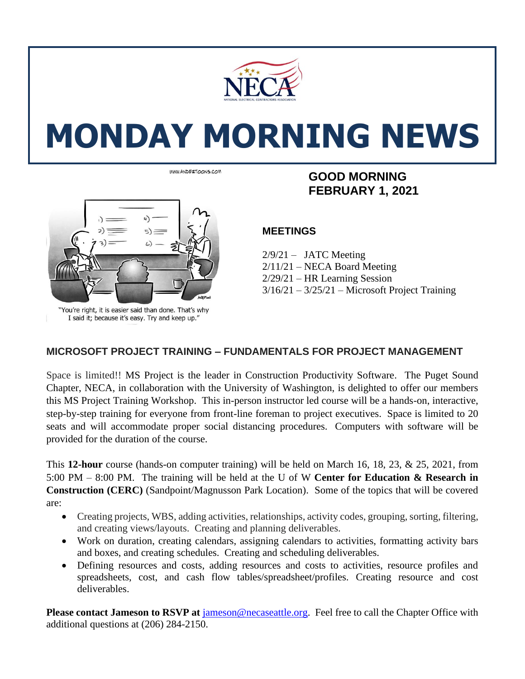

# **MONDAY MORNING NEWS**



<sup>&</sup>quot;You're right, it is easier said than done. That's why I said it; because it's easy. Try and keep up."

# **FIGURE COOP MORNING FEBRUARY 1, 2021**

### **MEETINGS**

 $2/9/21 - JATC$  Meeting  $2/11/21$  – NECA Board Meeting 2/29/21 – HR Learning Session  $3/16/21 - 3/25/21$  – Microsoft Project Training

# **MICROSOFT PROJECT TRAINING – FUNDAMENTALS FOR PROJECT MANAGEMENT**

Space is limited!! MS Project is the leader in Construction Productivity Software. The Puget Sound Chapter, NECA, in collaboration with the University of Washington, is delighted to offer our members this MS Project Training Workshop. This in-person instructor led course will be a hands-on, interactive, step-by-step training for everyone from front-line foreman to project executives. Space is limited to 20 seats and will accommodate proper social distancing procedures. Computers with software will be provided for the duration of the course.

This **12-hour** course (hands-on computer training) will be held on March 16, 18, 23, & 25, 2021, from 5:00 PM – 8:00 PM. The training will be held at the U of W **Center for Education & Research in Construction (CERC)** (Sandpoint/Magnusson Park Location). Some of the topics that will be covered are:

- Creating projects, WBS, adding activities, relationships, activity codes, grouping, sorting, filtering, and creating views/layouts. Creating and planning deliverables.
- Work on duration, creating calendars, assigning calendars to activities, formatting activity bars and boxes, and creating schedules. Creating and scheduling deliverables.
- Defining resources and costs, adding resources and costs to activities, resource profiles and spreadsheets, cost, and cash flow tables/spreadsheet/profiles. Creating resource and cost deliverables.

Please contact Jameson to RSVP at **[jameson@necaseattle.org.](mailto:jameson@necaseattle.org)** Feel free to call the Chapter Office with additional questions at (206) 284-2150.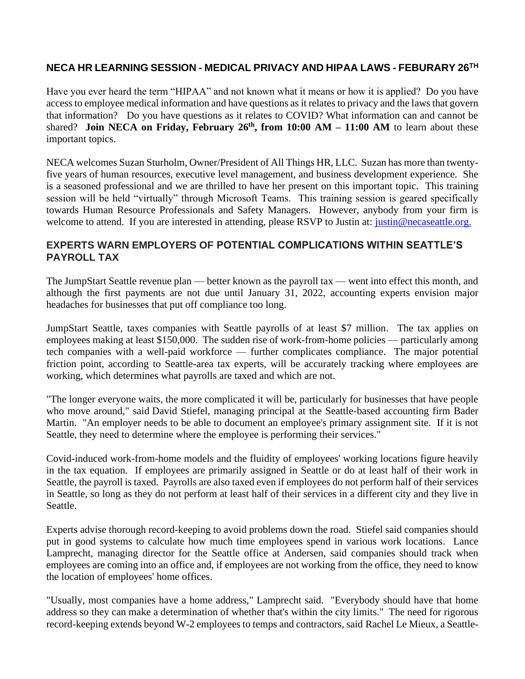#### **NECA HR LEARNING SESSION - MEDICAL PRIVACY AND HIPAA LAWS - FEBURARY 26TH**

Have you ever heard the term "HIPAA" and not known what it means or how it is applied? Do you have access to employee medical information and have questions as it relates to privacy and the laws that govern that information? Do you have questions as it relates to COVID? What information can and cannot be shared? **Join NECA on Friday, February 26th, from 10:00 AM – 11:00 AM** to learn about these important topics.

NECA welcomes Suzan Sturholm, Owner/President of All Things HR, LLC. Suzan has more than twentyfive years of human resources, executive level management, and business development experience. She is a seasoned professional and we are thrilled to have her present on this important topic. This training session will be held "virtually" through Microsoft Teams. This training session is geared specifically towards Human Resource Professionals and Safety Managers. However, anybody from your firm is welcome to attend. If you are interested in attending, please RSVP to Justin at: [justin@necaseattle.org.](mailto:justin@necaseattle.org)

#### **EXPERTS WARN EMPLOYERS OF POTENTIAL COMPLICATIONS WITHIN SEATTLE'S PAYROLL TAX**

The JumpStart Seattle revenue plan — better known as the payroll tax — went into effect this month, and although the first payments are not due until January 31, 2022, accounting experts envision major headaches for businesses that put off compliance too long.

JumpStart Seattle, taxes companies with Seattle payrolls of at least \$7 million. The tax applies on employees making at least \$150,000. The sudden rise of work-from-home policies — particularly among tech companies with a well-paid workforce — further complicates compliance. The major potential friction point, according to Seattle-area tax experts, will be accurately tracking where employees are working, which determines what payrolls are taxed and which are not.

"The longer everyone waits, the more complicated it will be, particularly for businesses that have people who move around," said [David Stiefel,](https://www.bizjournals.com/seattle/search/results?q=David%20Stiefel) managing principal at the Seattle-based accounting firm Bader Martin. "An employer needs to be able to document an employee's primary assignment site. If it is not Seattle, they need to determine where the employee is performing their services."

Covid-induced work-from-home models and the fluidity of employees' working locations figure heavily in the tax equation. If employees are primarily assigned in Seattle or do at least half of their work in Seattle, the payroll is taxed. Payrolls are also taxed even if employees do not perform half of their services in Seattle, so long as they do not perform at least half of their services in a different city and they live in Seattle.

Experts advise thorough record-keeping to avoid problems down the road. Stiefel said companies should put in good systems to calculate how much time employees spend in various work locations. [Lance](https://www.bizjournals.com/seattle/search/results?q=Lance%20Lamprecht)  [Lamprecht,](https://www.bizjournals.com/seattle/search/results?q=Lance%20Lamprecht) managing director for the Seattle office at Andersen, said companies should track when employees are coming into an office and, if employees are not working from the office, they need to know the location of employees' home offices.

"Usually, most companies have a home address," Lamprecht said. "Everybody should have that home address so they can make a determination of whether that's within the city limits." The need for rigorous record-keeping extends beyond W-2 employees to temps and contractors, said [Rachel Le Mieux,](https://www.bizjournals.com/seattle/search/results?q=Rachel%20Le%20Mieux) a Seattle-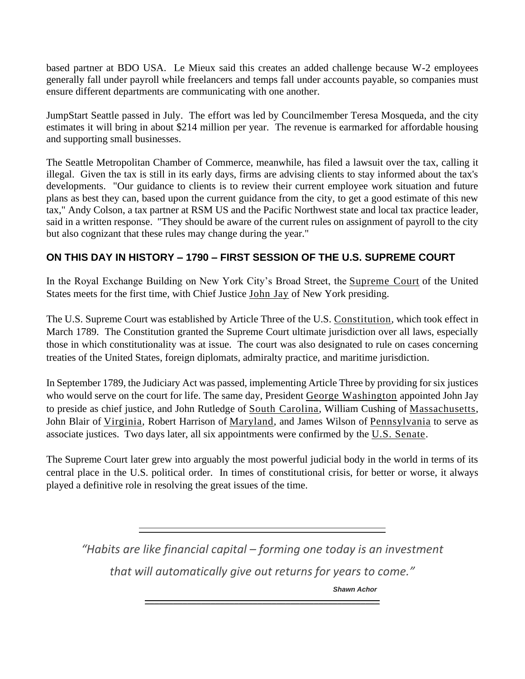based partner at BDO USA. Le Mieux said this creates an added challenge because W-2 employees generally fall under payroll while freelancers and temps fall under accounts payable, so companies must ensure different departments are communicating with one another.

JumpStart Seattle passed in July. The effort was led by Councilmember [Teresa Mosqueda,](https://www.bizjournals.com/seattle/search/results?q=Teresa%20Mosqueda) and the city estimates it will bring in about \$214 million per year. The revenue is earmarked for affordable housing and supporting small businesses.

The Seattle Metropolitan Chamber of Commerce, meanwhile, has filed a lawsuit over the tax, calling it illegal. Given the tax is still in its early days, firms are advising clients to stay informed about the tax's developments. "Our guidance to clients is to review their current employee work situation and future plans as best they can, based upon the current guidance from the city, to get a good estimate of this new tax," [Andy Colson,](https://www.bizjournals.com/seattle/search/results?q=Andy%20Colson) a tax partner at RSM US and the Pacific Northwest state and local tax practice leader, said in a written response. "They should be aware of the current rules on assignment of payroll to the city but also cognizant that these rules may change during the year."

# **ON THIS DAY IN HISTORY – 1790 – FIRST SESSION OF THE U.S. SUPREME COURT**

In the Royal Exchange Building on New York City's Broad Street, the [Supreme Court](https://www.history.com/topics/supreme-court-facts) of the United States meets for the first time, with Chief Justice [John Jay](https://www.history.com/topics/john-jay) of New York presiding.

The U.S. Supreme Court was established by Article Three of the U.S. [Constitution,](https://www.history.com/topics/constitution) which took effect in March 1789. The Constitution granted the Supreme Court ultimate jurisdiction over all laws, especially those in which constitutionality was at issue. The court was also designated to rule on cases concerning treaties of the United States, foreign diplomats, admiralty practice, and maritime jurisdiction.

In September 1789, the Judiciary Act was passed, implementing Article Three by providing for six justices who would serve on the court for life. The same day, President [George Washington](https://www.history.com/topics/us-presidents/george-washington) appointed John Jay to preside as chief justice, and John Rutledge of [South Carolina,](https://www.history.com/topics/us-states/south-carolina) William Cushing of [Massachusetts,](https://www.history.com/topics/us-states/massachusetts) John Blair of [Virginia,](https://www.history.com/topics/us-states/virginia) Robert Harrison of [Maryland,](https://www.history.com/topics/us-states/maryland) and James Wilson of [Pennsylvania](https://www.history.com/topics/us-states/pennsylvania) to serve as associate justices. Two days later, all six appointments were confirmed by the [U.S. Senate.](https://www.history.com/topics/history-of-the-us-senate)

The Supreme Court later grew into arguably the most powerful judicial body in the world in terms of its central place in the U.S. political order. In times of constitutional crisis, for better or worse, it always played a definitive role in resolving the great issues of the time.

*"Habits are like financial capital – forming one today is an investment that will automatically give out returns for years to come."*

 $\overline{\phantom{a}}$  , and the contract of the contract of the contract of the contract of the contract of the contract of the contract of the contract of the contract of the contract of the contract of the contract of the contrac

*Shawn Achor*